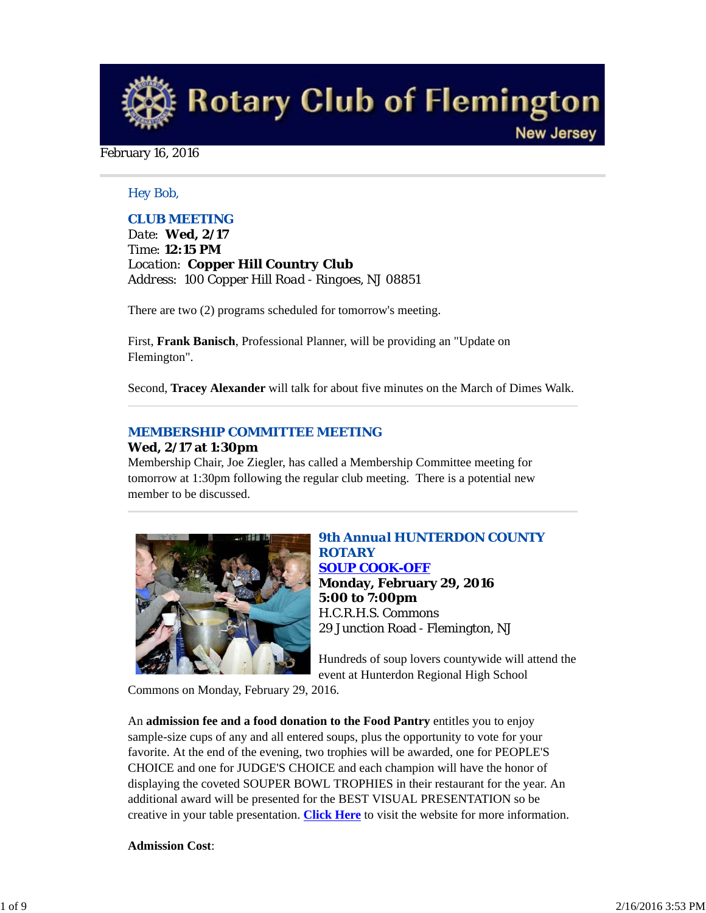**Rotary Club of Flemington New Jersey** 

#### February 16, 2016

### *Hey Bob,*

# *CLUB MEETING*

*Date: Wed, 2/17 Time: 12:15 PM Location: Copper Hill Country Club Address: 100 Copper Hill Road - Ringoes, NJ 08851*

There are two (2) programs scheduled for tomorrow's meeting.

First, **Frank Banisch**, Professional Planner, will be providing an "Update on Flemington".

Second, **Tracey Alexander** will talk for about five minutes on the March of Dimes Walk.

# *MEMBERSHIP COMMITTEE MEETING*

#### **Wed, 2/17 at 1:30pm**

Membership Chair, Joe Ziegler, has called a Membership Committee meeting for tomorrow at 1:30pm following the regular club meeting. There is a potential new member to be discussed.



# *9th Annual HUNTERDON COUNTY ROTARY SOUP COOK-OFF* **Monday, February 29, 2016 5:00 to 7:00pm** H.C.R.H.S. Commons 29 Junction Road - Flemington, NJ

Hundreds of soup lovers countywide will attend the event at Hunterdon Regional High School

Commons on Monday, February 29, 2016.

An **admission fee and a food donation to the Food Pantry** entitles you to enjoy sample-size cups of any and all entered soups, plus the opportunity to vote for your favorite. At the end of the evening, two trophies will be awarded, one for PEOPLE'S CHOICE and one for JUDGE'S CHOICE and each champion will have the honor of displaying the coveted SOUPER BOWL TROPHIES in their restaurant for the year. An additional award will be presented for the BEST VISUAL PRESENTATION so be creative in your table presentation. **Click Here** to visit the website for more information.

### **Admission Cost**: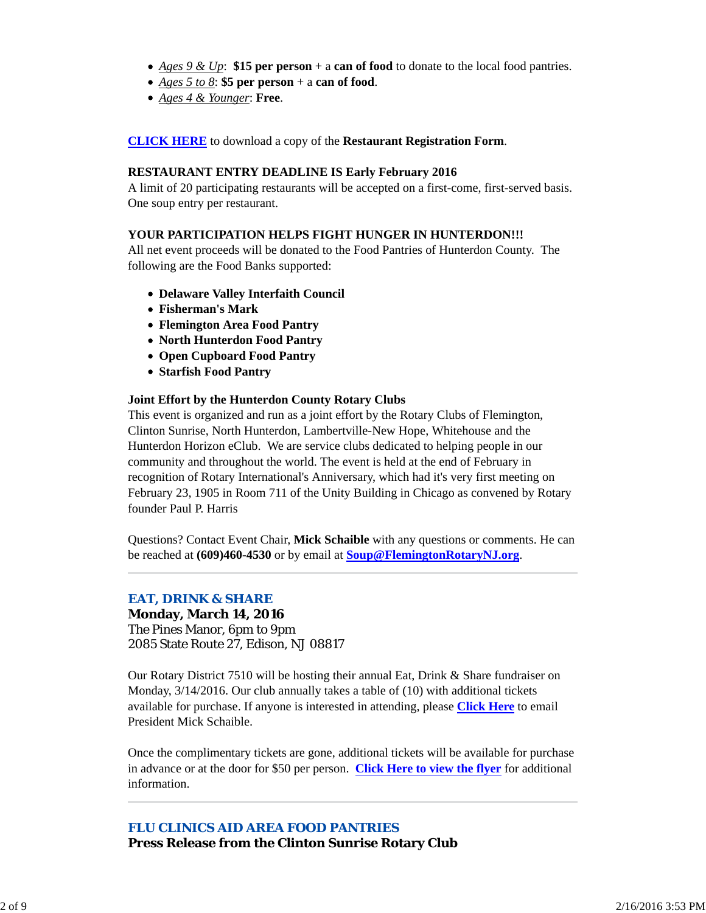- *Ages 9 & Up*: **\$15 per person** + a **can of food** to donate to the local food pantries.
- *Ages 5 to 8*: **\$5 per person** + a **can of food**.
- *Ages 4 & Younger*: **Free**.

#### **CLICK HERE** to download a copy of the **Restaurant Registration Form**.

#### **RESTAURANT ENTRY DEADLINE IS Early February 2016**

A limit of 20 participating restaurants will be accepted on a first-come, first-served basis. One soup entry per restaurant.

#### **YOUR PARTICIPATION HELPS FIGHT HUNGER IN HUNTERDON!!!**

All net event proceeds will be donated to the Food Pantries of Hunterdon County. The following are the Food Banks supported:

- **Delaware Valley Interfaith Council**
- **Fisherman's Mark**
- **Flemington Area Food Pantry**
- **North Hunterdon Food Pantry**
- **Open Cupboard Food Pantry**
- **Starfish Food Pantry**

#### **Joint Effort by the Hunterdon County Rotary Clubs**

This event is organized and run as a joint effort by the Rotary Clubs of Flemington, Clinton Sunrise, North Hunterdon, Lambertville-New Hope, Whitehouse and the Hunterdon Horizon eClub. We are service clubs dedicated to helping people in our community and throughout the world. The event is held at the end of February in recognition of Rotary International's Anniversary, which had it's very first meeting on February 23, 1905 in Room 711 of the Unity Building in Chicago as convened by Rotary founder Paul P. Harris

Questions? Contact Event Chair, **Mick Schaible** with any questions or comments. He can be reached at **(609)460-4530** or by email at **Soup@FlemingtonRotaryNJ.org**.

### *EAT, DRINK & SHARE*

**Monday, March 14, 2016** The Pines Manor, 6pm to 9pm 2085 State Route 27, Edison, NJ 08817

Our Rotary District 7510 will be hosting their annual Eat, Drink & Share fundraiser on Monday, 3/14/2016. Our club annually takes a table of (10) with additional tickets available for purchase. If anyone is interested in attending, please **Click Here** to email President Mick Schaible.

Once the complimentary tickets are gone, additional tickets will be available for purchase in advance or at the door for \$50 per person. **Click Here to view the flyer** for additional information.

*FLU CLINICS AID AREA FOOD PANTRIES* **Press Release from the Clinton Sunrise Rotary Club**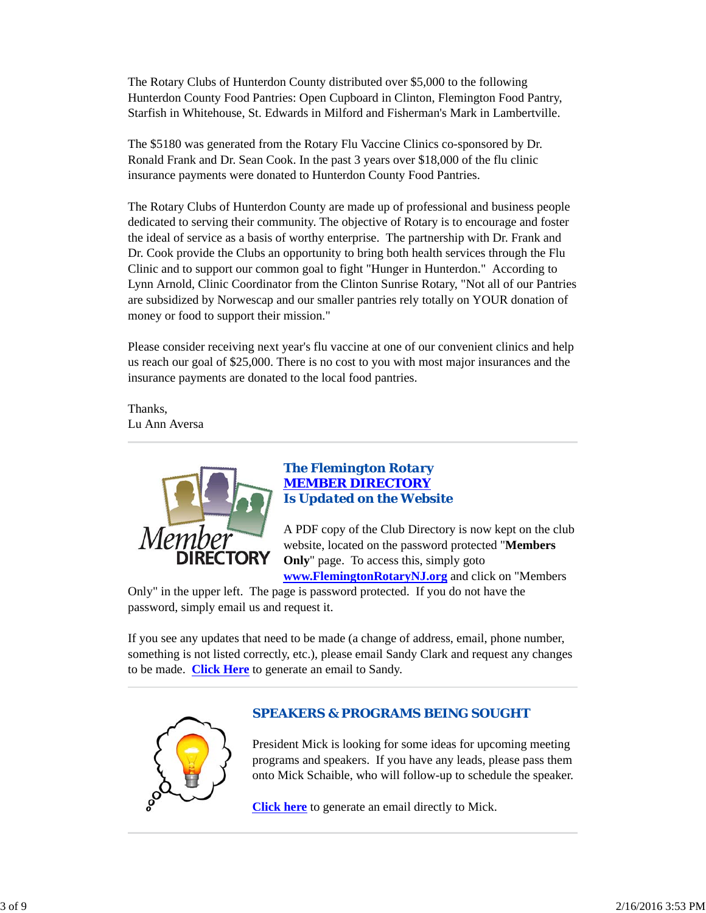The Rotary Clubs of Hunterdon County distributed over \$5,000 to the following Hunterdon County Food Pantries: Open Cupboard in Clinton, Flemington Food Pantry, Starfish in Whitehouse, St. Edwards in Milford and Fisherman's Mark in Lambertville.

The \$5180 was generated from the Rotary Flu Vaccine Clinics co-sponsored by Dr. Ronald Frank and Dr. Sean Cook. In the past 3 years over \$18,000 of the flu clinic insurance payments were donated to Hunterdon County Food Pantries.

The Rotary Clubs of Hunterdon County are made up of professional and business people dedicated to serving their community. The objective of Rotary is to encourage and foster the ideal of service as a basis of worthy enterprise. The partnership with Dr. Frank and Dr. Cook provide the Clubs an opportunity to bring both health services through the Flu Clinic and to support our common goal to fight "Hunger in Hunterdon." According to Lynn Arnold, Clinic Coordinator from the Clinton Sunrise Rotary, "Not all of our Pantries are subsidized by Norwescap and our smaller pantries rely totally on YOUR donation of money or food to support their mission."

Please consider receiving next year's flu vaccine at one of our convenient clinics and help us reach our goal of \$25,000. There is no cost to you with most major insurances and the insurance payments are donated to the local food pantries.

Thanks, Lu Ann Aversa



# *The Flemington Rotary MEMBER DIRECTORY Is Updated on the Website*

A PDF copy of the Club Directory is now kept on the club website, located on the password protected "**Members Only**" page. To access this, simply goto **www.FlemingtonRotaryNJ.org** and click on "Members

Only" in the upper left. The page is password protected. If you do not have the password, simply email us and request it.

If you see any updates that need to be made (a change of address, email, phone number, something is not listed correctly, etc.), please email Sandy Clark and request any changes to be made. **Click Here** to generate an email to Sandy.



# *SPEAKERS & PROGRAMS BEING SOUGHT*

President Mick is looking for some ideas for upcoming meeting programs and speakers. If you have any leads, please pass them onto Mick Schaible, who will follow-up to schedule the speaker.

**Click here** to generate an email directly to Mick.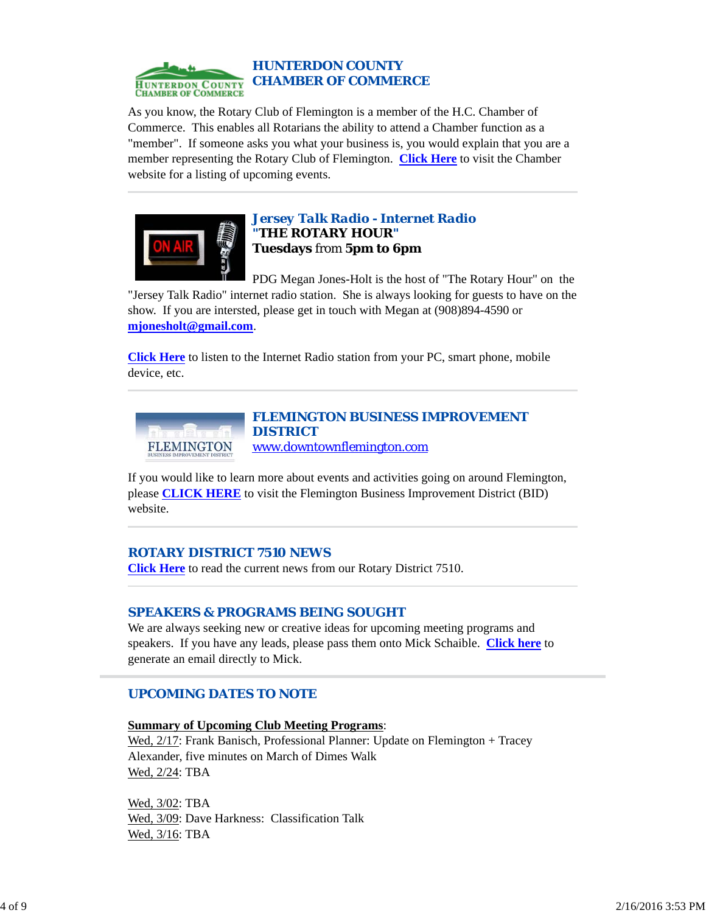

### *HUNTERDON COUNTY CHAMBER OF COMMERCE*

As you know, the Rotary Club of Flemington is a member of the H.C. Chamber of Commerce. This enables all Rotarians the ability to attend a Chamber function as a "member". If someone asks you what your business is, you would explain that you are a member representing the Rotary Club of Flemington. **Click Here** to visit the Chamber website for a listing of upcoming events.



### *Jersey Talk Radio - Internet Radio "THE ROTARY HOUR"* **Tuesdays** from **5pm to 6pm**

PDG Megan Jones-Holt is the host of "The Rotary Hour" on the "Jersey Talk Radio" internet radio station. She is always looking for guests to have on the show. If you are intersted, please get in touch with Megan at (908)894-4590 or **mjonesholt@gmail.com**.

**Click Here** to listen to the Internet Radio station from your PC, smart phone, mobile device, etc.



### *FLEMINGTON BUSINESS IMPROVEMENT DISTRICT* www.downtownflemington.com

If you would like to learn more about events and activities going on around Flemington, please **CLICK HERE** to visit the Flemington Business Improvement District (BID) website.

### *ROTARY DISTRICT 7510 NEWS*

**Click Here** to read the current news from our Rotary District 7510.

# *SPEAKERS & PROGRAMS BEING SOUGHT*

We are always seeking new or creative ideas for upcoming meeting programs and speakers. If you have any leads, please pass them onto Mick Schaible. **Click here** to generate an email directly to Mick.

# *UPCOMING DATES TO NOTE*

**Summary of Upcoming Club Meeting Programs**: Wed,  $2/17$ : Frank Banisch, Professional Planner: Update on Flemington + Tracey Alexander, five minutes on March of Dimes Walk Wed, 2/24: TBA

Wed, 3/02: TBA Wed, 3/09: Dave Harkness: Classification Talk Wed, 3/16: TBA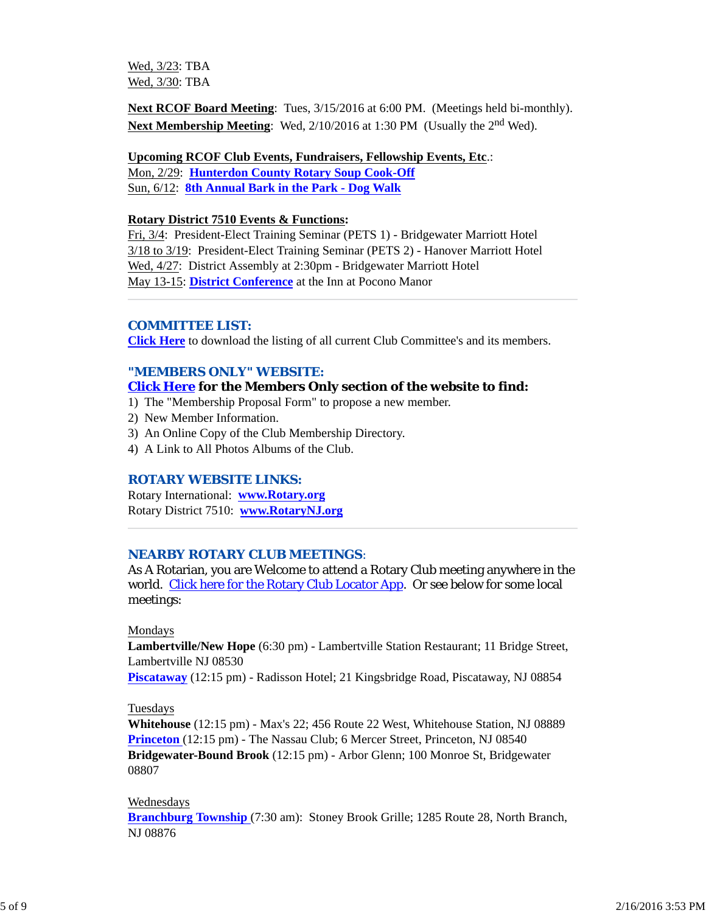Wed, 3/23: TBA Wed, 3/30: TBA

**Next RCOF Board Meeting**: Tues, 3/15/2016 at 6:00 PM. (Meetings held bi-monthly). **Next Membership Meeting:** Wed, 2/10/2016 at 1:30 PM (Usually the 2<sup>nd</sup> Wed).

**Upcoming RCOF Club Events, Fundraisers, Fellowship Events, Etc**.:

Mon, 2/29: **Hunterdon County Rotary Soup Cook-Off** Sun, 6/12: **8th Annual Bark in the Park - Dog Walk**

#### **Rotary District 7510 Events & Functions:**

Fri, 3/4: President-Elect Training Seminar (PETS 1) - Bridgewater Marriott Hotel 3/18 to 3/19: President-Elect Training Seminar (PETS 2) - Hanover Marriott Hotel Wed, 4/27: District Assembly at 2:30pm - Bridgewater Marriott Hotel May 13-15: **District Conference** at the Inn at Pocono Manor

#### *COMMITTEE LIST:*

**Click Here** to download the listing of all current Club Committee's and its members.

### *"MEMBERS ONLY" WEBSITE:*

### **Click Here for the Members Only section of the website to find:**

- 1) The "Membership Proposal Form" to propose a new member.
- 2) New Member Information.
- 3) An Online Copy of the Club Membership Directory.
- 4) A Link to All Photos Albums of the Club.

#### *ROTARY WEBSITE LINKS:*

Rotary International: **www.Rotary.org** Rotary District 7510: **www.RotaryNJ.org**

### *NEARBY ROTARY CLUB MEETINGS:*

As A Rotarian, you are Welcome to attend a Rotary Club meeting anywhere in the world. Click here for the Rotary Club Locator App. Or see below for some local meetings:

#### Mondays

**Lambertville/New Hope** (6:30 pm) - Lambertville Station Restaurant; 11 Bridge Street, Lambertville NJ 08530

**Piscataway** (12:15 pm) - Radisson Hotel; 21 Kingsbridge Road, Piscataway, NJ 08854

#### Tuesdays

**Whitehouse** (12:15 pm) - Max's 22; 456 Route 22 West, Whitehouse Station, NJ 08889 **Princeton** (12:15 pm) - The Nassau Club; 6 Mercer Street, Princeton, NJ 08540 **Bridgewater-Bound Brook** (12:15 pm) - Arbor Glenn; 100 Monroe St, Bridgewater 08807

#### Wednesdays

**Branchburg Township** (7:30 am): Stoney Brook Grille; 1285 Route 28, North Branch, NJ 08876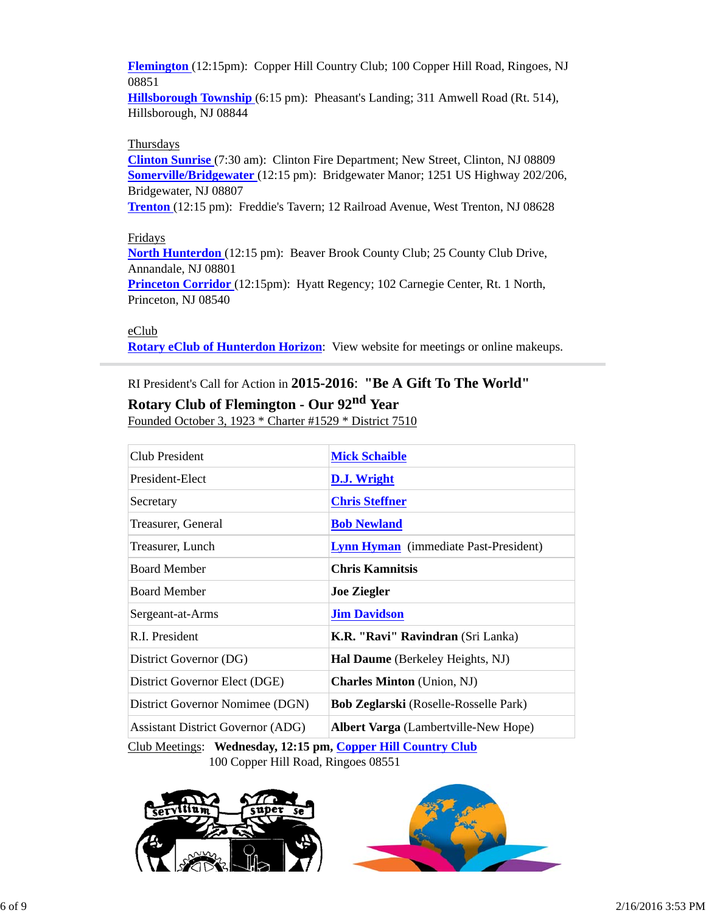**Flemington** (12:15pm): Copper Hill Country Club; 100 Copper Hill Road, Ringoes, NJ 08851

**Hillsborough Township** (6:15 pm): Pheasant's Landing; 311 Amwell Road (Rt. 514), Hillsborough, NJ 08844

#### **Thursdays**

**Clinton Sunrise** (7:30 am): Clinton Fire Department; New Street, Clinton, NJ 08809 **Somerville/Bridgewater** (12:15 pm): Bridgewater Manor; 1251 US Highway 202/206, Bridgewater, NJ 08807

**Trenton** (12:15 pm): Freddie's Tavern; 12 Railroad Avenue, West Trenton, NJ 08628

### Fridays

**North Hunterdon** (12:15 pm): Beaver Brook County Club; 25 County Club Drive, Annandale, NJ 08801

**Princeton Corridor** (12:15pm): Hyatt Regency; 102 Carnegie Center, Rt. 1 North, Princeton, NJ 08540

#### eClub

**Rotary eClub of Hunterdon Horizon**: View website for meetings or online makeups.

# RI President's Call for Action in **2015-2016**: **"Be A Gift To The World" Rotary Club of Flemington - Our 92nd Year**

Founded October 3, 1923 \* Charter #1529 \* District 7510

| Club President                           | <b>Mick Schaible</b>                         |
|------------------------------------------|----------------------------------------------|
| President-Elect                          | D.J. Wright                                  |
| Secretary                                | <b>Chris Steffner</b>                        |
| Treasurer, General                       | <b>Bob Newland</b>                           |
| Treasurer, Lunch                         | <b>Lynn Hyman</b> (immediate Past-President) |
| <b>Board Member</b>                      | Chris Kamnitsis                              |
| <b>Board Member</b>                      | <b>Joe Ziegler</b>                           |
| Sergeant-at-Arms                         | <b>Jim Davidson</b>                          |
| R.I. President                           | K.R. "Ravi" Ravindran (Sri Lanka)            |
| District Governor (DG)                   | Hal Daume (Berkeley Heights, NJ)             |
| District Governor Elect (DGE)            | <b>Charles Minton</b> (Union, NJ)            |
| District Governor Nomimee (DGN)          | <b>Bob Zeglarski</b> (Roselle-Rosselle Park) |
| <b>Assistant District Governor (ADG)</b> | <b>Albert Varga</b> (Lambertville-New Hope)  |

Club Meetings: **Wednesday, 12:15 pm, Copper Hill Country Club** 100 Copper Hill Road, Ringoes 08551



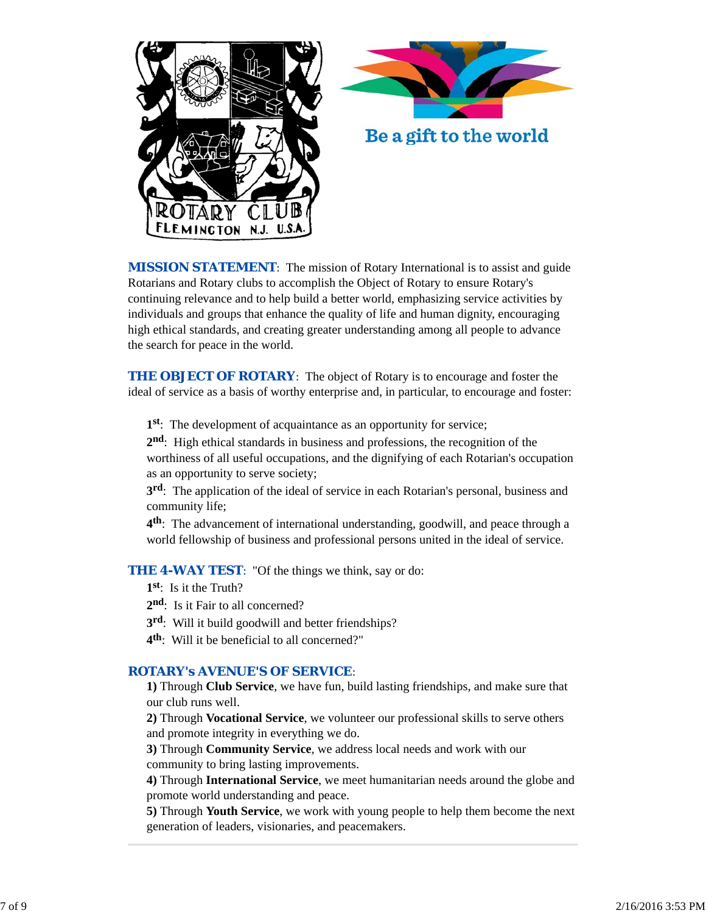



*MISSION STATEMENT*: The mission of Rotary International is to assist and guide Rotarians and Rotary clubs to accomplish the Object of Rotary to ensure Rotary's continuing relevance and to help build a better world, emphasizing service activities by individuals and groups that enhance the quality of life and human dignity, encouraging high ethical standards, and creating greater understanding among all people to advance the search for peace in the world.

**THE OBJECT OF ROTARY:** The object of Rotary is to encourage and foster the ideal of service as a basis of worthy enterprise and, in particular, to encourage and foster:

**1st**: The development of acquaintance as an opportunity for service;

**2nd**: High ethical standards in business and professions, the recognition of the worthiness of all useful occupations, and the dignifying of each Rotarian's occupation as an opportunity to serve society;

**3rd**: The application of the ideal of service in each Rotarian's personal, business and community life;

**4th**: The advancement of international understanding, goodwill, and peace through a world fellowship of business and professional persons united in the ideal of service.

**THE 4-WAY TEST**: "Of the things we think, say or do:

- **1st**: Is it the Truth?
- 2<sup>nd</sup>: Is it Fair to all concerned?
- **3rd**: Will it build goodwill and better friendships?
- **4th**: Will it be beneficial to all concerned?"

### *ROTARY's AVENUE'S OF SERVICE*:

**1)** Through **Club Service**, we have fun, build lasting friendships, and make sure that our club runs well.

**2)** Through **Vocational Service**, we volunteer our professional skills to serve others and promote integrity in everything we do.

**3)** Through **Community Service**, we address local needs and work with our community to bring lasting improvements.

**4)** Through **International Service**, we meet humanitarian needs around the globe and promote world understanding and peace.

**5)** Through **Youth Service**, we work with young people to help them become the next generation of leaders, visionaries, and peacemakers.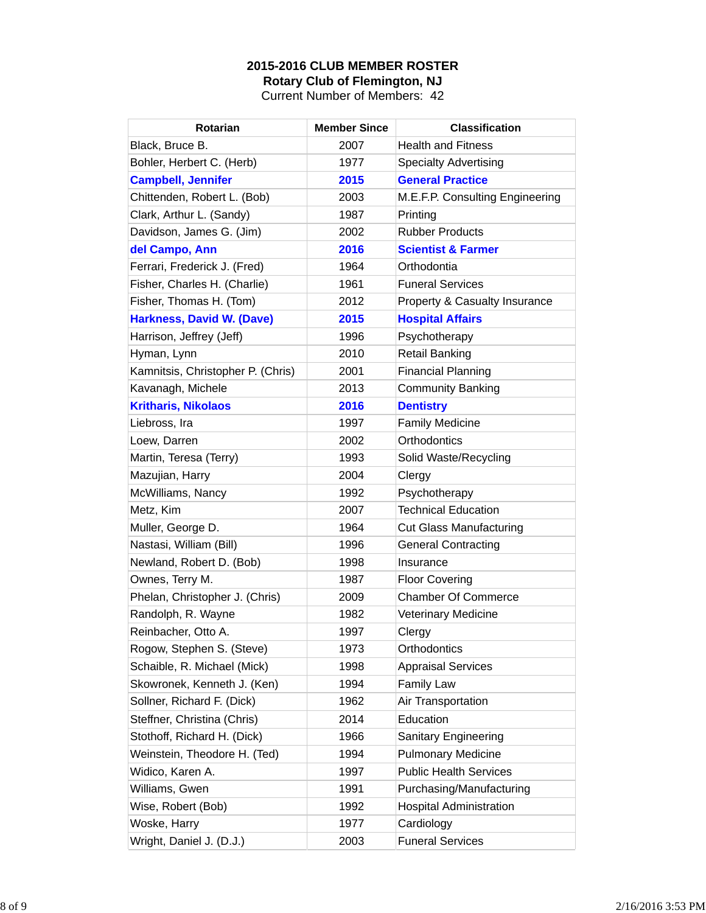# **2015-2016 CLUB MEMBER ROSTER Rotary Club of Flemington, NJ**

Current Number of Members: 42

| Rotarian                          | <b>Member Since</b> | <b>Classification</b>           |
|-----------------------------------|---------------------|---------------------------------|
| Black, Bruce B.                   | 2007                | <b>Health and Fitness</b>       |
| Bohler, Herbert C. (Herb)         | 1977                | <b>Specialty Advertising</b>    |
| <b>Campbell, Jennifer</b>         | 2015                | <b>General Practice</b>         |
| Chittenden, Robert L. (Bob)       | 2003                | M.E.F.P. Consulting Engineering |
| Clark, Arthur L. (Sandy)          | 1987                | Printing                        |
| Davidson, James G. (Jim)          | 2002                | <b>Rubber Products</b>          |
| del Campo, Ann                    | 2016                | <b>Scientist &amp; Farmer</b>   |
| Ferrari, Frederick J. (Fred)      | 1964                | Orthodontia                     |
| Fisher, Charles H. (Charlie)      | 1961                | <b>Funeral Services</b>         |
| Fisher, Thomas H. (Tom)           | 2012                | Property & Casualty Insurance   |
| <b>Harkness, David W. (Dave)</b>  | 2015                | <b>Hospital Affairs</b>         |
| Harrison, Jeffrey (Jeff)          | 1996                | Psychotherapy                   |
| Hyman, Lynn                       | 2010                | <b>Retail Banking</b>           |
| Kamnitsis, Christopher P. (Chris) | 2001                | <b>Financial Planning</b>       |
| Kavanagh, Michele                 | 2013                | <b>Community Banking</b>        |
| <b>Kritharis, Nikolaos</b>        | 2016                | <b>Dentistry</b>                |
| Liebross, Ira                     | 1997                | <b>Family Medicine</b>          |
| Loew, Darren                      | 2002                | Orthodontics                    |
| Martin, Teresa (Terry)            | 1993                | Solid Waste/Recycling           |
| Mazujian, Harry                   | 2004                | Clergy                          |
| McWilliams, Nancy                 | 1992                | Psychotherapy                   |
| Metz, Kim                         | 2007                | <b>Technical Education</b>      |
| Muller, George D.                 | 1964                | <b>Cut Glass Manufacturing</b>  |
| Nastasi, William (Bill)           | 1996                | <b>General Contracting</b>      |
| Newland, Robert D. (Bob)          | 1998                | Insurance                       |
| Ownes, Terry M.                   | 1987                | <b>Floor Covering</b>           |
| Phelan, Christopher J. (Chris)    | 2009                | <b>Chamber Of Commerce</b>      |
| Randolph, R. Wayne                | 1982                | <b>Veterinary Medicine</b>      |
| Reinbacher, Otto A.               | 1997                | Clergy                          |
| Rogow, Stephen S. (Steve)         | 1973                | Orthodontics                    |
| Schaible, R. Michael (Mick)       | 1998                | <b>Appraisal Services</b>       |
| Skowronek, Kenneth J. (Ken)       | 1994                | <b>Family Law</b>               |
| Sollner, Richard F. (Dick)        | 1962                | Air Transportation              |
| Steffner, Christina (Chris)       | 2014                | Education                       |
| Stothoff, Richard H. (Dick)       | 1966                | Sanitary Engineering            |
| Weinstein, Theodore H. (Ted)      | 1994                | <b>Pulmonary Medicine</b>       |
| Widico, Karen A.                  | 1997                | <b>Public Health Services</b>   |
| Williams, Gwen                    | 1991                | Purchasing/Manufacturing        |
| Wise, Robert (Bob)                | 1992                | <b>Hospital Administration</b>  |
| Woske, Harry                      | 1977                | Cardiology                      |
| Wright, Daniel J. (D.J.)          | 2003                | <b>Funeral Services</b>         |